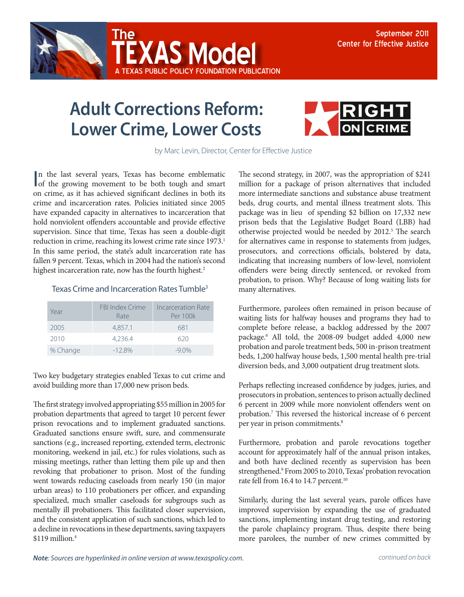



A Texas Public Policy Foundation publication

**XAS Model** 



by Marc Levin, Director, Center for Effective Justice

In the last several years, Texas has become emblematic<br>of the growing movement to be both tough and smart n the last several years, Texas has become emblematic on crime, as it has achieved significant declines in both its crime and incarceration rates. Policies initiated since 2005 have expanded capacity in alternatives to incarceration that hold nonviolent offenders accountable and provide effective supervision. Since that time, Texas has seen a double-digit reduction in crime, reaching its lowest crime rate since 1973.<sup>1</sup> In this same period, the state's adult incarceration rate has fallen 9 percent. Texas, which in 2004 had the nation's second highest incarceration rate, now has the fourth highest.<sup>2</sup>

## Texas Crime and Incarceration Rates Tumble<sup>3</sup>

| Year     | <b>FBI Index Crime</b><br>Rate | Incarceration Rate<br>Per 100k |
|----------|--------------------------------|--------------------------------|
| 2005     | 4,857.1                        | 681                            |
| 2010     | 4,236.4                        | 620                            |
| % Change | $-128%$                        | $-9.0\%$                       |

Two key budgetary strategies enabled Texas to cut crime and avoid building more than 17,000 new prison beds.

The first strategy involved appropriating \$55 million in 2005 for probation departments that agreed to target 10 percent fewer prison revocations and to implement graduated sanctions. Graduated sanctions ensure swift, sure, and commensurate sanctions (e.g., increased reporting, extended term, electronic monitoring, weekend in jail, etc.) for rules violations, such as missing meetings, rather than letting them pile up and then revoking that probationer to prison. Most of the funding went towards reducing caseloads from nearly 150 (in major urban areas) to 110 probationers per officer, and expanding specialized, much smaller caseloads for subgroups such as mentally ill probationers. This facilitated closer supervision, and the consistent application of such sanctions, which led to a decline in revocations in these departments, saving taxpayers  $$119$  million.<sup>4</sup>

The second strategy, in 2007, was the appropriation of \$241 million for a package of prison alternatives that included more intermediate sanctions and substance abuse treatment beds, drug courts, and mental illness treatment slots. This package was in lieu of spending \$2 billion on 17,332 new prison beds that the Legislative Budget Board (LBB) had otherwise projected would be needed by 2012.<sup>5</sup> The search for alternatives came in response to statements from judges, prosecutors, and corrections officials, bolstered by data, indicating that increasing numbers of low-level, nonviolent offenders were being directly sentenced, or revoked from probation, to prison. Why? Because of long waiting lists for many alternatives.

Furthermore, parolees often remained in prison because of waiting lists for halfway houses and programs they had to complete before release, a backlog addressed by the 2007 package.6 All told, the 2008-09 budget added 4,000 new probation and parole treatment beds, 500 in-prison treatment beds, 1,200 halfway house beds, 1,500 mental health pre-trial diversion beds, and 3,000 outpatient drug treatment slots.

Perhaps reflecting increased confidence by judges, juries, and prosecutors in probation, sentences to prison actually declined 6 percent in 2009 while more nonviolent offenders went on probation.7 This reversed the historical increase of 6 percent per year in prison commitments.<sup>8</sup>

Furthermore, probation and parole revocations together account for approximately half of the annual prison intakes, and both have declined recently as supervision has been strengthened.<sup>9</sup> From 2005 to 2010, Texas' probation revocation rate fell from 16.4 to 14.7 percent.<sup>10</sup>

Similarly, during the last several years, parole offices have improved supervision by expanding the use of graduated sanctions, implementing instant drug testing, and restoring the parole chaplaincy program. Thus, despite there being more parolees, the number of new crimes committed by